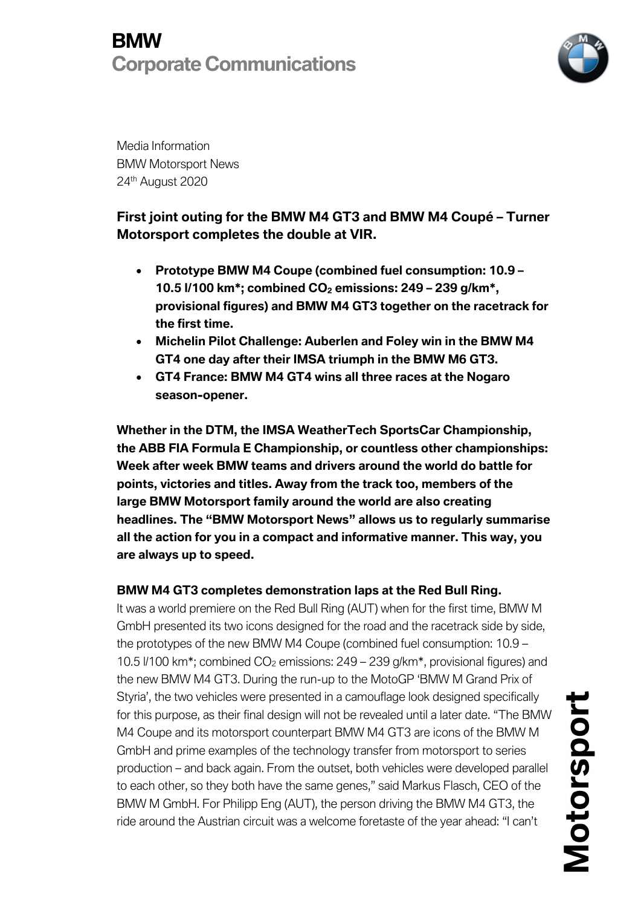

Media Information BMW Motorsport News 24<sup>th</sup> August 2020

## **First joint outing for the BMW M4 GT3 and BMW M4 Coupé – Turner Motorsport completes the double at VIR.**

- **Prototype BMW M4 Coupe (combined fuel consumption: 10.9 – 10.5 l/100 km\*; combined CO2 emissions: 249 – 239 g/km\*, provisional figures) and BMW M4 GT3 together on the racetrack for the first time.**
- **Michelin Pilot Challenge: Auberlen and Foley win in the BMW M4 GT4 one day after their IMSA triumph in the BMW M6 GT3.**
- **GT4 France: BMW M4 GT4 wins all three races at the Nogaro season-opener.**

**Whether in the DTM, the IMSA WeatherTech SportsCar Championship, the ABB FIA Formula E Championship, or countless other championships: Week after week BMW teams and drivers around the world do battle for points, victories and titles. Away from the track too, members of the large BMW Motorsport family around the world are also creating headlines. The "BMW Motorsport News" allows us to regularly summarise all the action for you in a compact and informative manner. This way, you are always up to speed.**

### **BMW M4 GT3 completes demonstration laps at the Red Bull Ring.**

It was a world premiere on the Red Bull Ring (AUT) when for the first time, BMW M GmbH presented its two icons designed for the road and the racetrack side by side, the prototypes of the new BMW M4 Coupe (combined fuel consumption: 10.9 – 10.5 l/100 km\*; combined CO2 emissions: 249 – 239 g/km\*, provisional figures) and the new BMW M4 GT3. During the run-up to the MotoGP 'BMW M Grand Prix of Styria', the two vehicles were presented in a camouflage look designed specifically for this purpose, as their final design will not be revealed until a later date. "The BMW M4 Coupe and its motorsport counterpart BMW M4 GT3 are icons of the BMW M GmbH and prime examples of the technology transfer from motorsport to series production – and back again. From the outset, both vehicles were developed parallel to each other, so they both have the same genes," said Markus Flasch, CEO of the BMW M GmbH. For Philipp Eng (AUT), the person driving the BMW M4 GT3, the ride around the Austrian circuit was a welcome foretaste of the year ahead: "I can't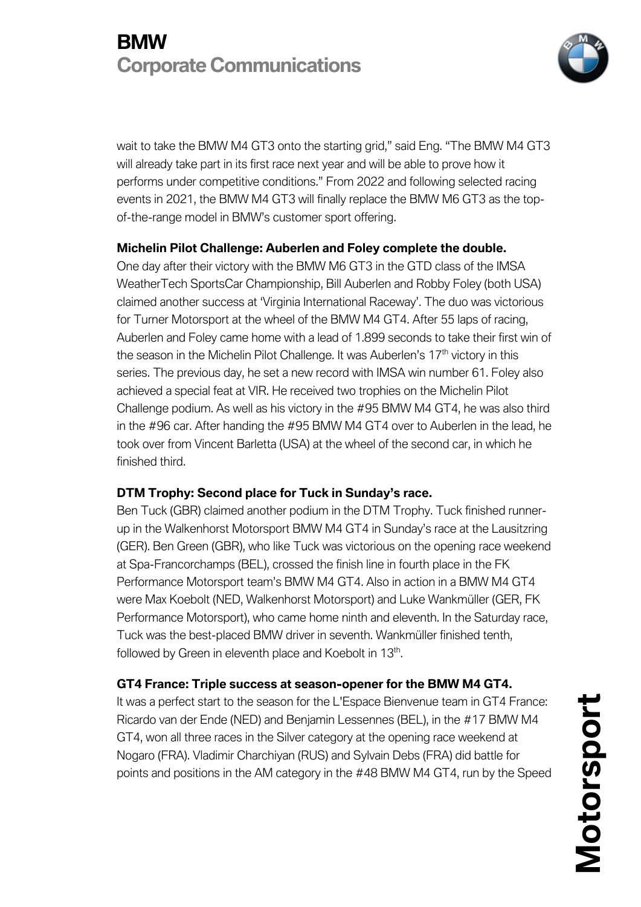

wait to take the BMW M4 GT3 onto the starting grid," said Eng. "The BMW M4 GT3 will already take part in its first race next year and will be able to prove how it performs under competitive conditions." From 2022 and following selected racing events in 2021, the BMW M4 GT3 will finally replace the BMW M6 GT3 as the topof-the-range model in BMW's customer sport offering.

#### **Michelin Pilot Challenge: Auberlen and Foley complete the double.**

One day after their victory with the BMW M6 GT3 in the GTD class of the IMSA WeatherTech SportsCar Championship, Bill Auberlen and Robby Foley (both USA) claimed another success at 'Virginia International Raceway'. The duo was victorious for Turner Motorsport at the wheel of the BMW M4 GT4. After 55 laps of racing, Auberlen and Foley came home with a lead of 1.899 seconds to take their first win of the season in the Michelin Pilot Challenge. It was Auberlen's 17<sup>th</sup> victory in this series. The previous day, he set a new record with IMSA win number 61. Foley also achieved a special feat at VIR. He received two trophies on the Michelin Pilot Challenge podium. As well as his victory in the #95 BMW M4 GT4, he was also third in the #96 car. After handing the #95 BMW M4 GT4 over to Auberlen in the lead, he took over from Vincent Barletta (USA) at the wheel of the second car, in which he finished third.

### **DTM Trophy: Second place for Tuck in Sunday's race.**

Ben Tuck (GBR) claimed another podium in the DTM Trophy. Tuck finished runnerup in the Walkenhorst Motorsport BMW M4 GT4 in Sunday's race at the Lausitzring (GER). Ben Green (GBR), who like Tuck was victorious on the opening race weekend at Spa-Francorchamps (BEL), crossed the finish line in fourth place in the FK Performance Motorsport team's BMW M4 GT4. Also in action in a BMW M4 GT4 were Max Koebolt (NED, Walkenhorst Motorsport) and Luke Wankmüller (GER, FK Performance Motorsport), who came home ninth and eleventh. In the Saturday race, Tuck was the best-placed BMW driver in seventh. Wankmüller finished tenth, followed by Green in eleventh place and Koebolt in 13<sup>th</sup>.

### **GT4 France: Triple success at season-opener for the BMW M4 GT4.**

It was a perfect start to the season for the L'Espace Bienvenue team in GT4 France: Ricardo van der Ende (NED) and Benjamin Lessennes (BEL), in the #17 BMW M4 GT4, won all three races in the Silver category at the opening race weekend at Nogaro (FRA). Vladimir Charchiyan (RUS) and Sylvain Debs (FRA) did battle for points and positions in the AM category in the #48 BMW M4 GT4, run by the Speed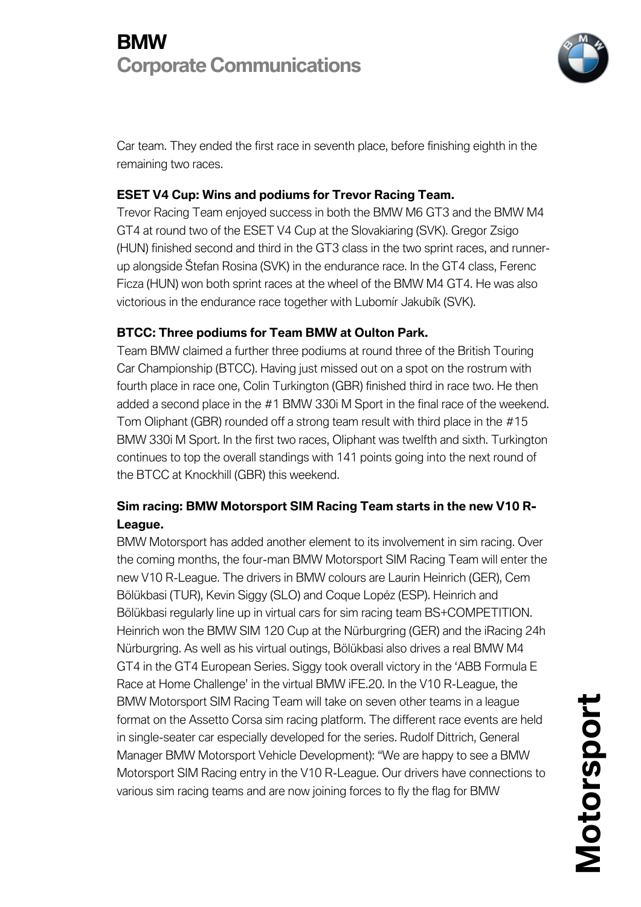

Car team. They ended the first race in seventh place, before finishing eighth in the remaining two races.

## **ESET V4 Cup: Wins and podiums for Trevor Racing Team.**

Trevor Racing Team enjoyed success in both the BMW M6 GT3 and the BMW M4 GT4 at round two of the ESET V4 Cup at the Slovakiaring (SVK). Gregor Zsigo (HUN) finished second and third in the GT3 class in the two sprint races, and runnerup alongside Štefan Rosina (SVK) in the endurance race. In the GT4 class, Ferenc Ficza (HUN) won both sprint races at the wheel of the BMW M4 GT4. He was also victorious in the endurance race together with Lubomír Jakubík (SVK).

### **BTCC: Three podiums for Team BMW at Oulton Park.**

Team BMW claimed a further three podiums at round three of the British Touring Car Championship (BTCC). Having just missed out on a spot on the rostrum with fourth place in race one, Colin Turkington (GBR) finished third in race two. He then added a second place in the #1 BMW 330i M Sport in the final race of the weekend. Tom Oliphant (GBR) rounded off a strong team result with third place in the #15 BMW 330i M Sport. In the first two races, Oliphant was twelfth and sixth. Turkington continues to top the overall standings with 141 points going into the next round of the BTCC at Knockhill (GBR) this weekend.

## **Sim racing: BMW Motorsport SIM Racing Team starts in the new V10 R-League.**

BMW Motorsport has added another element to its involvement in sim racing. Over the coming months, the four-man BMW Motorsport SIM Racing Team will enter the new V10 R-League. The drivers in BMW colours are Laurin Heinrich (GER), Cem Bölükbasi (TUR), Kevin Siggy (SLO) and Coque Lopéz (ESP). Heinrich and Bölükbasi regularly line up in virtual cars for sim racing team BS+COMPETITION. Heinrich won the BMW SIM 120 Cup at the Nürburgring (GER) and the iRacing 24h Nürburgring. As well as his virtual outings, Bölükbasi also drives a real BMW M4 GT4 in the GT4 European Series. Siggy took overall victory in the 'ABB Formula E Race at Home Challenge' in the virtual BMW iFE.20. In the V10 R-League, the BMW Motorsport SIM Racing Team will take on seven other teams in a league format on the Assetto Corsa sim racing platform. The different race events are held in single-seater car especially developed for the series. Rudolf Dittrich, General Manager BMW Motorsport Vehicle Development): "We are happy to see a BMW Motorsport SIM Racing entry in the V10 R-League. Our drivers have connections to various sim racing teams and are now joining forces to fly the flag for BMW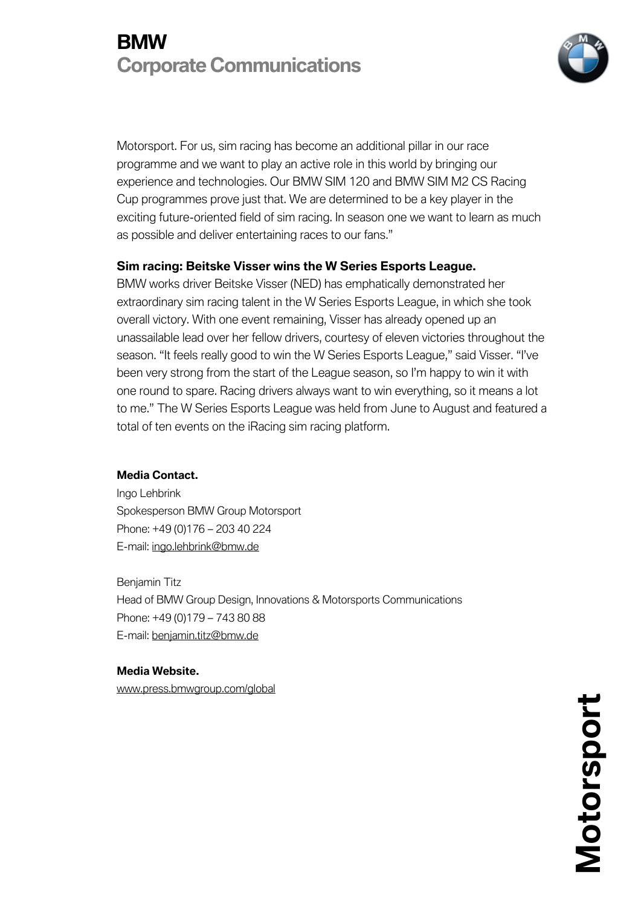

Motorsport. For us, sim racing has become an additional pillar in our race programme and we want to play an active role in this world by bringing our experience and technologies. Our BMW SIM 120 and BMW SIM M2 CS Racing Cup programmes prove just that. We are determined to be a key player in the exciting future-oriented field of sim racing. In season one we want to learn as much as possible and deliver entertaining races to our fans."

#### **Sim racing: Beitske Visser wins the W Series Esports League.**

BMW works driver Beitske Visser (NED) has emphatically demonstrated her extraordinary sim racing talent in the W Series Esports League, in which she took overall victory. With one event remaining, Visser has already opened up an unassailable lead over her fellow drivers, courtesy of eleven victories throughout the season. "It feels really good to win the W Series Esports League," said Visser. "I've been very strong from the start of the League season, so I'm happy to win it with one round to spare. Racing drivers always want to win everything, so it means a lot to me." The W Series Esports League was held from June to August and featured a total of ten events on the iRacing sim racing platform.

#### **Media Contact.**

Ingo Lehbrink Spokesperson BMW Group Motorsport Phone: +49 (0)176 – 203 40 224 E-mail: ingo.lehbrink@bmw.de

Benjamin Titz Head of BMW Group Design, Innovations & Motorsports Communications Phone: +49 (0)179 – 743 80 88 E-mail: benjamin.titz@bmw.de

#### **Media Website.**

www.press.bmwgroup.com/global